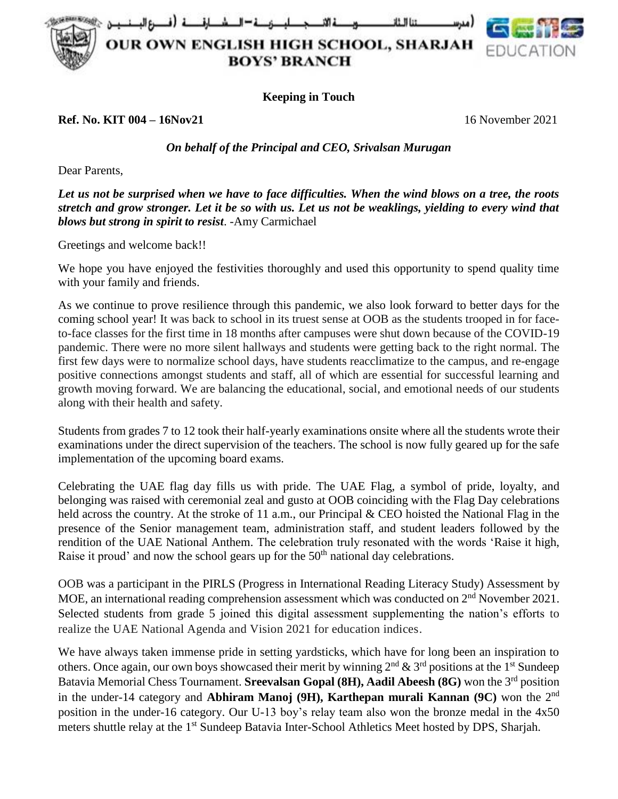للصرصة = الد at II Lit

**OUR OWN ENGLISH HIGH SCHOOL, SHARJAH BOYS' BRANCH** 



**Keeping in Touch**

**Ref. No. KIT 004 – 16Nov21** 16 November 2021

## *On behalf of the Principal and CEO, Srivalsan Murugan*

Dear Parents,

*Let us not be surprised when we have to face difficulties. When the wind blows on a tree, the roots stretch and grow stronger. Let it be so with us. Let us not be weaklings, yielding to every wind that blows but strong in spirit to resist*. -Amy Carmichael

Greetings and welcome back!!

We hope you have enjoyed the festivities thoroughly and used this opportunity to spend quality time with your family and friends.

As we continue to prove resilience through this pandemic, we also look forward to better days for the coming school year! It was back to school in its truest sense at OOB as the students trooped in for faceto-face classes for the first time in 18 months after campuses were shut down because of the COVID-19 pandemic. There were no more silent hallways and students were getting back to the right normal. The first few days were to normalize school days, have students reacclimatize to the campus, and re-engage positive connections amongst students and staff, all of which are essential for successful learning and growth moving forward. We are balancing the educational, social, and emotional needs of our students along with their health and safety.

Students from grades 7 to 12 took their half-yearly examinations onsite where all the students wrote their examinations under the direct supervision of the teachers. The school is now fully geared up for the safe implementation of the upcoming board exams.

Celebrating the UAE flag day fills us with pride. The UAE Flag, a symbol of pride, loyalty, and belonging was raised with ceremonial zeal and gusto at OOB coinciding with the Flag Day celebrations held across the country. At the stroke of 11 a.m., our Principal & CEO hoisted the National Flag in the presence of the Senior management team, administration staff, and student leaders followed by the rendition of the UAE National Anthem. The celebration truly resonated with the words 'Raise it high, Raise it proud' and now the school gears up for the 50<sup>th</sup> national day celebrations.

OOB was a participant in the PIRLS (Progress in International Reading Literacy Study) Assessment by MOE, an international reading comprehension assessment which was conducted on 2<sup>nd</sup> November 2021. Selected students from grade 5 joined this digital assessment supplementing the nation's efforts to realize the UAE National Agenda and Vision 2021 for education indices*.*

We have always taken immense pride in setting yardsticks, which have for long been an inspiration to others. Once again, our own boys showcased their merit by winning  $2<sup>nd</sup> \& 3<sup>rd</sup>$  positions at the 1<sup>st</sup> Sundeep Batavia Memorial Chess Tournament. **Sreevalsan Gopal (8H), Aadil Abeesh (8G)** won the 3rd position in the under-14 category and **Abhiram Manoj (9H), Karthepan murali Kannan (9C)** won the 2nd position in the under-16 category. Our U-13 boy's relay team also won the bronze medal in the 4x50 meters shuttle relay at the 1<sup>st</sup> Sundeep Batavia Inter-School Athletics Meet hosted by DPS, Sharjah.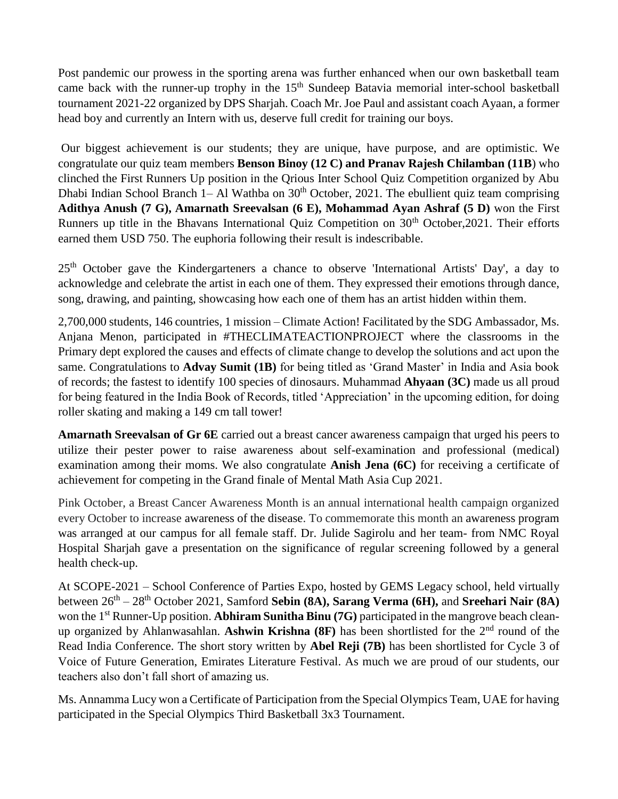Post pandemic our prowess in the sporting arena was further enhanced when our own basketball team came back with the runner-up trophy in the  $15<sup>th</sup>$  Sundeep Batavia memorial inter-school basketball tournament 2021-22 organized by DPS Sharjah. Coach Mr. Joe Paul and assistant coach Ayaan, a former head boy and currently an Intern with us, deserve full credit for training our boys.

Our biggest achievement is our students; they are unique, have purpose, and are optimistic. We congratulate our quiz team members **Benson Binoy (12 C) and Pranav Rajesh Chilamban (11B**) who clinched the First Runners Up position in the Qrious Inter School Quiz Competition organized by Abu Dhabi Indian School Branch 1– Al Wathba on  $30<sup>th</sup>$  October, 2021. The ebullient quiz team comprising **Adithya Anush (7 G), Amarnath Sreevalsan (6 E), Mohammad Ayan Ashraf (5 D)** won the First Runners up title in the Bhavans International Quiz Competition on 30<sup>th</sup> October, 2021. Their efforts earned them USD 750. The euphoria following their result is indescribable.

25<sup>th</sup> October gave the Kindergarteners a chance to observe 'International Artists' Day', a day to acknowledge and celebrate the artist in each one of them. They expressed their emotions through dance, song, drawing, and painting, showcasing how each one of them has an artist hidden within them.

2,700,000 students, 146 countries, 1 mission – Climate Action! Facilitated by the SDG Ambassador, Ms. Anjana Menon, participated in #THECLIMATEACTIONPROJECT where the classrooms in the Primary dept explored the causes and effects of climate change to develop the solutions and act upon the same. Congratulations to **Advay Sumit (1B)** for being titled as 'Grand Master' in India and Asia book of records; the fastest to identify 100 species of dinosaurs. Muhammad **Ahyaan (3C)** made us all proud for being featured in the India Book of Records, titled 'Appreciation' in the upcoming edition, for doing roller skating and making a 149 cm tall tower!

**Amarnath Sreevalsan of Gr 6E** carried out a breast cancer awareness campaign that urged his peers to utilize their pester power to raise awareness about self-examination and professional (medical) examination among their moms. We also congratulate **Anish Jena (6C)** for receiving a certificate of achievement for competing in the Grand finale of Mental Math Asia Cup 2021.

Pink October, a Breast Cancer Awareness Month is an annual international health campaign organized every October to increase awareness of the disease. To commemorate this month an awareness program was arranged at our campus for all female staff. Dr. Julide Sagirolu and her team- from NMC Royal Hospital Sharjah gave a presentation on the significance of regular screening followed by a general health check-up.

At SCOPE-2021 – School Conference of Parties Expo, hosted by GEMS Legacy school, held virtually between 26<sup>th</sup> – 28<sup>th</sup> October 2021, Samford **Sebin (8A), Sarang Verma (6H), and Sreehari Nair (8A)** won the 1<sup>st</sup> Runner-Up position. **Abhiram Sunitha Binu (7G)** participated in the mangrove beach cleanup organized by Ahlanwasahlan. **Ashwin Krishna (8F)** has been shortlisted for the 2nd round of the Read India Conference. The short story written by **Abel Reji (7B)** has been shortlisted for Cycle 3 of Voice of Future Generation, Emirates Literature Festival. As much we are proud of our students, our teachers also don't fall short of amazing us.

Ms. Annamma Lucy won a Certificate of Participation from the Special Olympics Team, UAE for having participated in the Special Olympics Third Basketball 3x3 Tournament.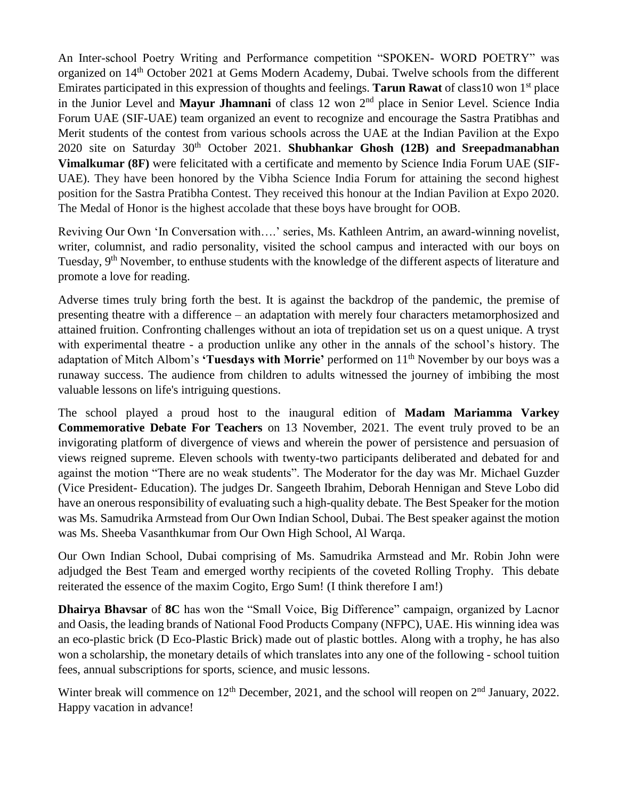An Inter-school Poetry Writing and Performance competition "SPOKEN- WORD POETRY" was organized on 14th October 2021 at Gems Modern Academy, Dubai. Twelve schools from the different Emirates participated in this expression of thoughts and feelings. **Tarun Rawat** of class10 won 1 st place in the Junior Level and **Mayur Jhamnani** of class 12 won 2nd place in Senior Level. Science India Forum UAE (SIF-UAE) team organized an event to recognize and encourage the Sastra Pratibhas and Merit students of the contest from various schools across the UAE at the Indian Pavilion at the Expo 2020 site on Saturday 30th October 2021. **Shubhankar Ghosh (12B) and Sreepadmanabhan Vimalkumar (8F)** were felicitated with a certificate and memento by Science India Forum UAE (SIF-UAE). They have been honored by the Vibha Science India Forum for attaining the second highest position for the Sastra Pratibha Contest. They received this honour at the Indian Pavilion at Expo 2020. The Medal of Honor is the highest accolade that these boys have brought for OOB.

Reviving Our Own 'In Conversation with….' series, Ms. Kathleen Antrim, an award-winning novelist, writer, columnist, and radio personality, visited the school campus and interacted with our boys on Tuesday, 9<sup>th</sup> November, to enthuse students with the knowledge of the different aspects of literature and promote a love for reading.

Adverse times truly bring forth the best. It is against the backdrop of the pandemic, the premise of presenting theatre with a difference – an adaptation with merely four characters metamorphosized and attained fruition. Confronting challenges without an iota of trepidation set us on a quest unique. A tryst with experimental theatre - a production unlike any other in the annals of the school's history. The adaptation of Mitch Albom's **'Tuesdays with Morrie'** performed on 11<sup>th</sup> November by our boys was a runaway success. The audience from children to adults witnessed the journey of imbibing the most valuable lessons on life's intriguing questions.

The school played a proud host to the inaugural edition of **Madam Mariamma Varkey Commemorative Debate For Teachers** on 13 November, 2021. The event truly proved to be an invigorating platform of divergence of views and wherein the power of persistence and persuasion of views reigned supreme. Eleven schools with twenty-two participants deliberated and debated for and against the motion "There are no weak students". The Moderator for the day was Mr. Michael Guzder (Vice President- Education). The judges Dr. Sangeeth Ibrahim, Deborah Hennigan and Steve Lobo did have an onerous responsibility of evaluating such a high-quality debate. The Best Speaker for the motion was Ms. Samudrika Armstead from Our Own Indian School, Dubai. The Best speaker against the motion was Ms. Sheeba Vasanthkumar from Our Own High School, Al Warqa.

Our Own Indian School, Dubai comprising of Ms. Samudrika Armstead and Mr. Robin John were adjudged the Best Team and emerged worthy recipients of the coveted Rolling Trophy. This debate reiterated the essence of the maxim Cogito, Ergo Sum! (I think therefore I am!)

**Dhairya Bhavsar** of **8C** has won the "Small Voice, Big Difference" campaign, organized by Lacnor and Oasis, the leading brands of National Food Products Company (NFPC), UAE. His winning idea was an eco-plastic brick (D Eco-Plastic Brick) made out of plastic bottles. Along with a trophy, he has also won a scholarship, the monetary details of which translates into any one of the following - school tuition fees, annual subscriptions for sports, science, and music lessons.

Winter break will commence on 12<sup>th</sup> December, 2021, and the school will reopen on 2<sup>nd</sup> January, 2022. Happy vacation in advance!